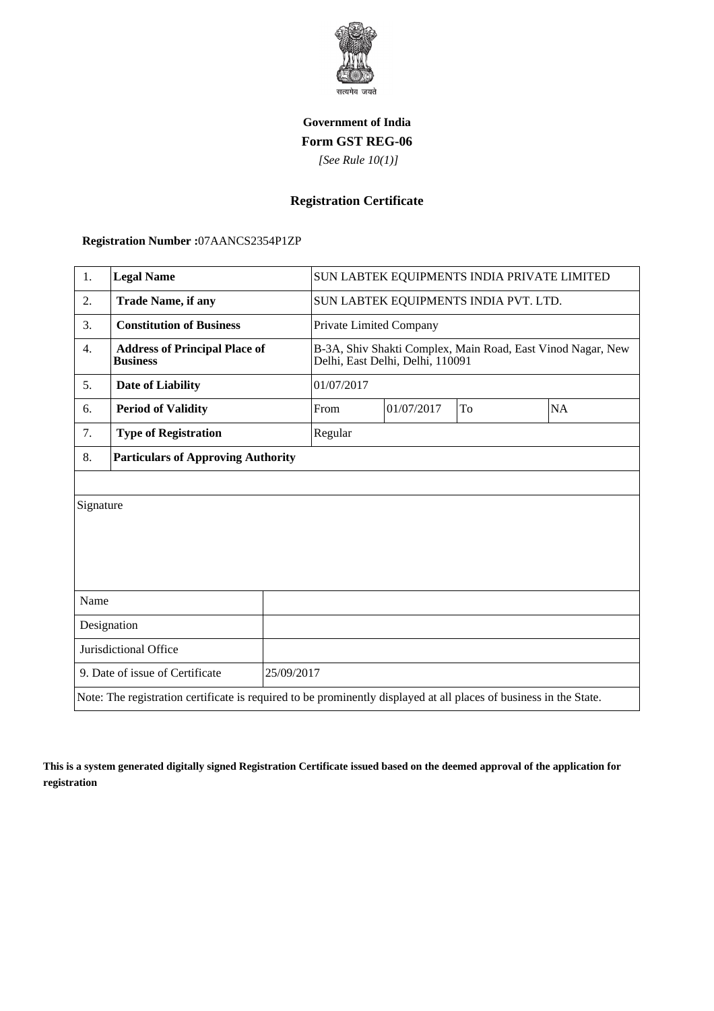

## **Government of India Form GST REG-06**

 *[See Rule 10(1)]*

## **Registration Certificate**

 **Registration Number :**07AANCS2354P1ZP

| 1.                                                                                                                 | <b>Legal Name</b>                                       |            | SUN LABTEK EQUIPMENTS INDIA PRIVATE LIMITED                                                     |    |           |  |
|--------------------------------------------------------------------------------------------------------------------|---------------------------------------------------------|------------|-------------------------------------------------------------------------------------------------|----|-----------|--|
| $\overline{2}$ .                                                                                                   | <b>Trade Name, if any</b>                               |            | SUN LABTEK EQUIPMENTS INDIA PVT. LTD.                                                           |    |           |  |
| 3.                                                                                                                 | <b>Constitution of Business</b>                         |            | Private Limited Company                                                                         |    |           |  |
| 4.                                                                                                                 | <b>Address of Principal Place of</b><br><b>Business</b> |            | B-3A, Shiv Shakti Complex, Main Road, East Vinod Nagar, New<br>Delhi, East Delhi, Delhi, 110091 |    |           |  |
| 5.                                                                                                                 | <b>Date of Liability</b>                                |            | 01/07/2017                                                                                      |    |           |  |
| 6.                                                                                                                 | <b>Period of Validity</b>                               | From       | 01/07/2017                                                                                      | To | <b>NA</b> |  |
| 7.                                                                                                                 | <b>Type of Registration</b>                             | Regular    |                                                                                                 |    |           |  |
| 8.                                                                                                                 | <b>Particulars of Approving Authority</b>               |            |                                                                                                 |    |           |  |
|                                                                                                                    |                                                         |            |                                                                                                 |    |           |  |
| Signature                                                                                                          |                                                         |            |                                                                                                 |    |           |  |
|                                                                                                                    |                                                         |            |                                                                                                 |    |           |  |
|                                                                                                                    |                                                         |            |                                                                                                 |    |           |  |
|                                                                                                                    |                                                         |            |                                                                                                 |    |           |  |
| Name                                                                                                               |                                                         |            |                                                                                                 |    |           |  |
| Designation                                                                                                        |                                                         |            |                                                                                                 |    |           |  |
| Jurisdictional Office                                                                                              |                                                         |            |                                                                                                 |    |           |  |
| 9. Date of issue of Certificate                                                                                    |                                                         | 25/09/2017 |                                                                                                 |    |           |  |
| Note: The registration certificate is required to be prominently displayed at all places of business in the State. |                                                         |            |                                                                                                 |    |           |  |

**This is a system generated digitally signed Registration Certificate issued based on the deemed approval of the application for registration**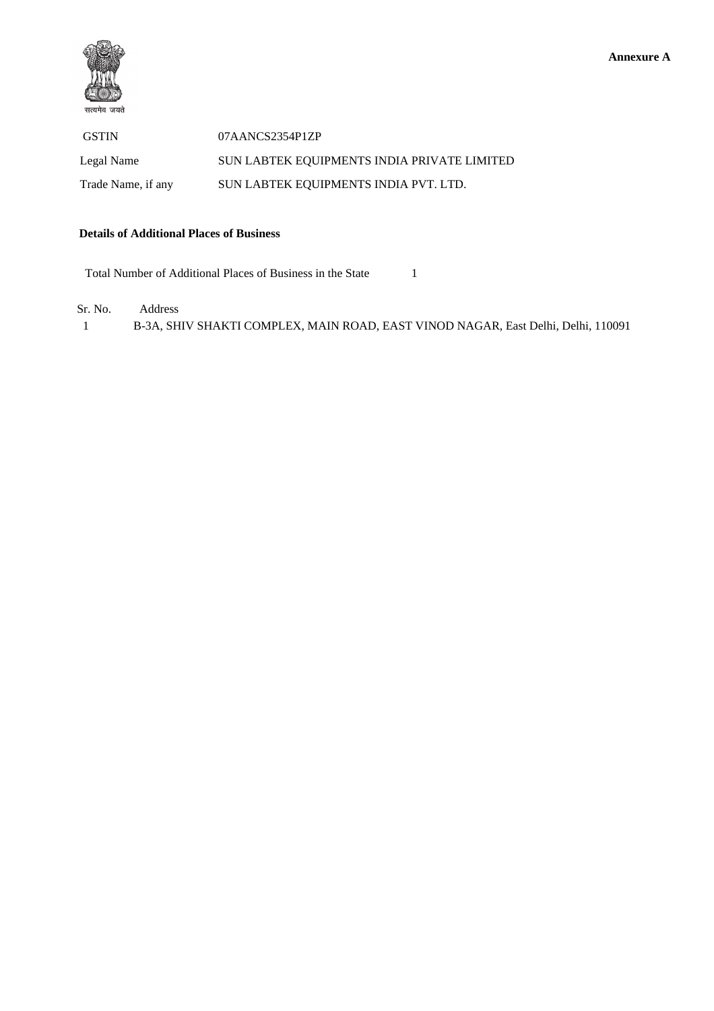

 GSTIN 07AANCS2354P1ZP Legal Name SUN LABTEK EQUIPMENTS INDIA PRIVATE LIMITED Trade Name, if any SUN LABTEK EQUIPMENTS INDIA PVT. LTD.

## **Details of Additional Places of Business**

Total Number of Additional Places of Business in the State 1

Sr. No. Address

1 B-3A, SHIV SHAKTI COMPLEX, MAIN ROAD, EAST VINOD NAGAR, East Delhi, Delhi, 110091